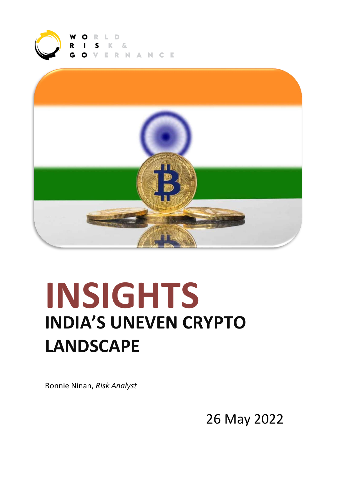



# **INSIGHTS INDIA'S UNEVEN CRYPTO LANDSCAPE**

Ronnie Ninan, *Risk Analyst*

26 May 2022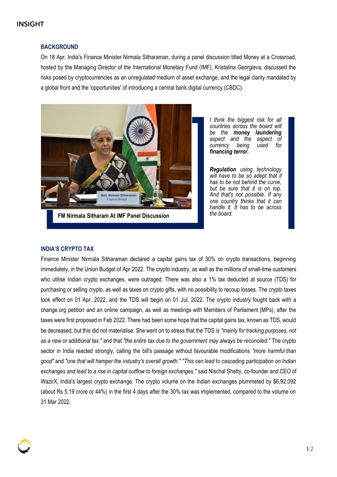# INSIGHT

### **BACKGROUND**

On 18 Apr, India's Finance Minister Nirmala Sitharaman, during a panel discussion titled Money at a Crossroad, hosted by the Managing Director of the International Monetary Fund (IMF), Kristalina Georgieva, discussed the risks posed by cryptocurrencies as an unregulated medium of asset exchange, and the legal clarity mandated by a global front and the 'opportunities' of introducing a central bank digital currency (CBDC).



**FM Nirmala Sitharam At IMF Panel Discussion**

*I think the biggest risk for all countries across the board will be the money laundering aspect and the aspect of*  $currence$  *being financing terror.*

*Regulation using technology will have to be so adept that it has to be not behind the curve, but be sure that it is on top. And that's not possible. If any one country thinks that it can handle it. It has to be across the board.*

#### **INDIA'S CRYPTO TAX**

Finance Minister Nirmala Sitharaman declared a capital gains tax of 30% on crypto transactions, beginning immediately, in the Union Budget of Apr 2022. The crypto industry, as well as the millions of small-time customers who utilise Indian crypto exchanges, were outraged. There was also a 1% tax deducted at source (TDS) for purchasing or selling crypto, as well as taxes on crypto gifts, with no possibility to recoup losses. The crypto taxes took effect on 01 Apr, 2022, and the TDS will begin on 01 Jul, 2022. The crypto industry fought back with a change.org petition and an online campaign, as well as meetings with Members of Parliament (MPs), after the taxes were first proposed in Feb 2022. There had been some hope that the capital gains tax, known as TDS, would be decreased, but this did not materialise. She went on to stress that the TDS *is "mainly for tracking purposes, not as a new or additional tax,"* and that *"the entire tax due to the government may always be reconciled."* The crypto sector in India reacted strongly, calling the bill's passage without favourable modifications *"more harmful than good"* and *"one that will hamper the industry's overall growth." "This can lead to cascading participation on Indian exchanges and lead to a rise in capital outflow to foreign exchanges,"* said Nischal Shetty, co-founder and CEO of WazirX, India's largest crypto exchange. The crypto volume on the Indian exchanges plummeted by \$6,92,092 (about Rs 5.19 crore or 44%) in the first 4 days after the 30% tax was implemented, compared to the volume on 31 Mar 2022.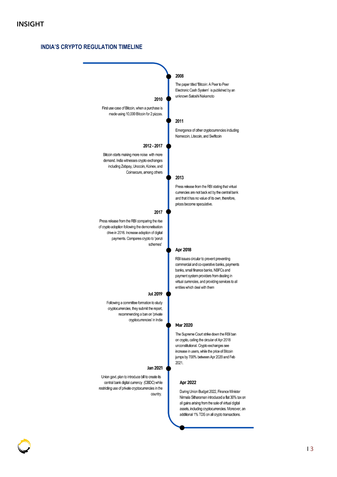# **INDIA'S CRYPTO REGULATION TIMELINE**

|                                                                                                                                                                                                    | 2008                                                                                                                                                                                                                                                                |
|----------------------------------------------------------------------------------------------------------------------------------------------------------------------------------------------------|---------------------------------------------------------------------------------------------------------------------------------------------------------------------------------------------------------------------------------------------------------------------|
| 2010                                                                                                                                                                                               | The paper titled 'Bitcoin: A Peer to Peer<br>Electronic Cash System' is published by an<br>unknown Satoshi Nakamoto                                                                                                                                                 |
| First use case of Bitcoin, when a purchase is<br>made using 10,000 Bitcoin for 2 pizzas.                                                                                                           |                                                                                                                                                                                                                                                                     |
|                                                                                                                                                                                                    | 2011                                                                                                                                                                                                                                                                |
|                                                                                                                                                                                                    | Emergence of other cryptocurrencies including<br>Namecoin, Litecoin, and Swiftcoin                                                                                                                                                                                  |
| 2012 - 2017                                                                                                                                                                                        |                                                                                                                                                                                                                                                                     |
| Bitcoin starts making more noise with more<br>demand. India witnesses crypto exchanges<br>including Zebpay, Unocoin, Koinex, and<br>Coinsecure, among others                                       | 2013                                                                                                                                                                                                                                                                |
|                                                                                                                                                                                                    | Press release from the RBI stating that virtual<br>currencies are not back ed by the central bank<br>and that it has no value of its own, therefore,<br>prices become speculative.                                                                                  |
| 2017                                                                                                                                                                                               |                                                                                                                                                                                                                                                                     |
| Press release from the RBI comparing the rise<br>of crypto adoption following the demonetisation<br>drive in 2016. Increase adoption of digital<br>payments. Compares crypto to 'ponzi<br>schemes' |                                                                                                                                                                                                                                                                     |
|                                                                                                                                                                                                    | Apr 2018                                                                                                                                                                                                                                                            |
|                                                                                                                                                                                                    | RBI issues circular to prevent preventing<br>commercial and co-operative banks, payments<br>banks, small finance banks, NBFCs and<br>payment system providers from dealing in<br>virtual currencies, and providing services to all<br>entities which deal with them |
| <b>Jul 2019</b>                                                                                                                                                                                    |                                                                                                                                                                                                                                                                     |
| Following a committee formation to study<br>cryptocurrencies, they submit the report,<br>recommending a ban on 'private<br>cryptocurrencies' in India                                              |                                                                                                                                                                                                                                                                     |
|                                                                                                                                                                                                    | <b>Mar 2020</b>                                                                                                                                                                                                                                                     |
|                                                                                                                                                                                                    | The Supreme Court strike down the RBI ban<br>on crypto, calling the circular of Apr 2018<br>unconstitutional. Crypto exchanges see<br>increase in users, while the price of Bitcoin<br>jumps by 700% between Apr 2020 and Feb<br>2021.                              |
| Jan 2021                                                                                                                                                                                           |                                                                                                                                                                                                                                                                     |
| Union govt. plan to introduce bill to create its<br>central bank digital currency (CBDC) while<br>restricting use of private cryptocurrencies in the                                               | <b>Apr 2022</b><br>During Union Budget 2022, Finance Minister                                                                                                                                                                                                       |
| country.                                                                                                                                                                                           | Nirmala Sitharaman introduced a flat 30% tax on<br>all gains arising from the sale of virtual digital<br>assets, including cryptocurrencies. Moreover, an<br>additional 1% TDS on all crypto transactions.                                                          |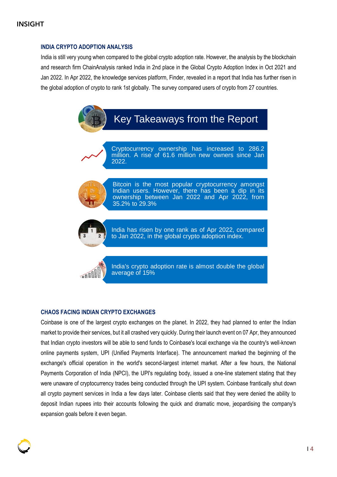# INSIGHT

## **INDIA CRYPTO ADOPTION ANALYSIS**

India is still very young when compared to the global crypto adoption rate. However, the analysis by the blockchain and research firm ChainAnalysis ranked India in 2nd place in the Global Crypto Adoption Index in Oct 2021 and Jan 2022. In Apr 2022, the knowledge services platform, Finder, revealed in a report that India has further risen in the global adoption of crypto to rank 1st globally. The survey compared users of crypto from 27 countries.



Cryptocurrency ownership has increased to 286.2 million. A rise of 61.6 million new owners since Jan 2022.



Bitcoin is the most popular cryptocurrency amongst Indian users. However, there has been a dip in its ownership between Jan 2022 and Apr 2022, from 35.2% to 29.3%



India has risen by one rank as of Apr 2022, compared to Jan 2022, in the global crypto adoption index.

国国

India's crypto adoption rate is almost double the global average of 15%

#### **CHAOS FACING INDIAN CRYPTO EXCHANGES**

Coinbase is one of the largest crypto exchanges on the planet. In 2022, they had planned to enter the Indian market to provide their services, but it all crashed very quickly. During their launch event on 07 Apr, they announced that Indian crypto investors will be able to send funds to Coinbase's local exchange via the country's well-known online payments system, UPI (Unified Payments Interface). The announcement marked the beginning of the exchange's official operation in the world's second-largest internet market. After a few hours, the National Payments Corporation of India (NPCI), the UPI's regulating body, issued a one-line statement stating that they were unaware of cryptocurrency trades being conducted through the UPI system. Coinbase frantically shut down all crypto payment services in India a few days later. Coinbase clients said that they were denied the ability to deposit Indian rupees into their accounts following the quick and dramatic move, jeopardising the company's expansion goals before it even began.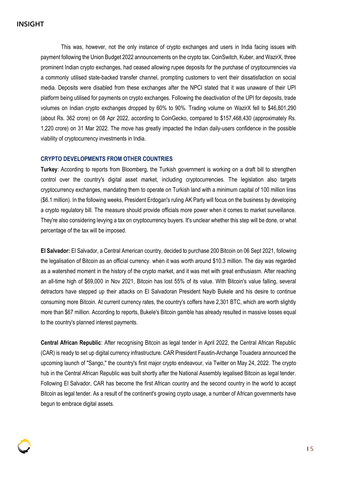This was, however, not the only instance of crypto exchanges and users in India facing issues with payment following the Union Budget 2022 announcements on the crypto tax. CoinSwitch, Kuber, and WazirX, three prominent Indian crypto exchanges, had ceased allowing rupee deposits for the purchase of cryptocurrencies via a commonly utilised state-backed transfer channel, prompting customers to vent their dissatisfaction on social media. Deposits were disabled from these exchanges after the NPCI stated that it was unaware of their UPI platform being utilised for payments on crypto exchanges. Following the deactivation of the UPI for deposits, trade volumes on Indian crypto exchanges dropped by 60% to 90%. Trading volume on WazirX fell to \$46,801,290 (about Rs. 362 crore) on 08 Apr 2022, according to CoinGecko, compared to \$157,468,430 (approximately Rs. 1,220 crore) on 31 Mar 2022. The move has greatly impacted the Indian daily-users confidence in the possible viability of cryptocurrency investments in India.

#### **CRYPTO DEVELOPMENTS FROM OTHER COUNTRIES**

**Turkey**: According to reports from Bloomberg, the Turkish government is working on a draft bill to strengthen control over the country's digital asset market, including cryptocurrencies. The legislation also targets cryptocurrency exchanges, mandating them to operate on Turkish land with a minimum capital of 100 million liras (\$6.1 million). In the following weeks, President Erdogan's ruling AK Party will focus on the business by developing a crypto regulatory bill. The measure should provide officials more power when it comes to market surveillance. They're also considering levying a tax on cryptocurrency buyers. It's unclear whether this step will be done, or what percentage of the tax will be imposed.

**El Salvador:** El Salvador, a Central American country, decided to purchase 200 Bitcoin on 06 Sept 2021, following the legalisation of Bitcoin as an official currency. when it was worth around \$10.3 million. The day was regarded as a watershed moment in the history of the crypto market, and it was met with great enthusiasm. After reaching an all-time high of \$69,000 in Nov 2021, Bitcoin has lost 55% of its value. With Bitcoin's value falling, several detractors have stepped up their attacks on El Salvadoran President Nayib Bukele and his desire to continue consuming more Bitcoin. At current currency rates, the country's coffers have 2,301 BTC, which are worth slightly more than \$67 million. According to reports, Bukele's Bitcoin gamble has already resulted in massive losses equal to the country's planned interest payments.

**Central African Republic**: After recognising Bitcoin as legal tender in April 2022, the Central African Republic (CAR) is ready to set up digital currency infrastructure. CAR President Faustin-Archange Touadera announced the upcoming launch of "Sango," the country's first major crypto endeavour, via Twitter on May 24, 2022. The crypto hub in the Central African Republic was built shortly after the National Assembly legalised Bitcoin as legal tender. Following El Salvador, CAR has become the first African country and the second country in the world to accept Bitcoin as legal tender. As a result of the continent's growing crypto usage, a number of African governments have begun to embrace digital assets.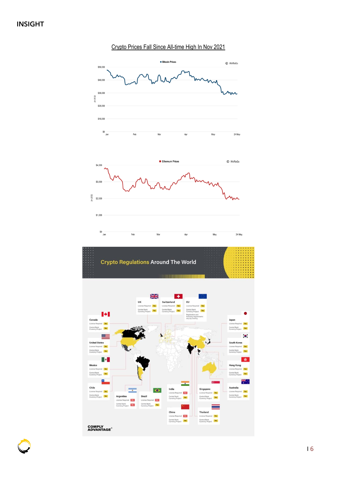

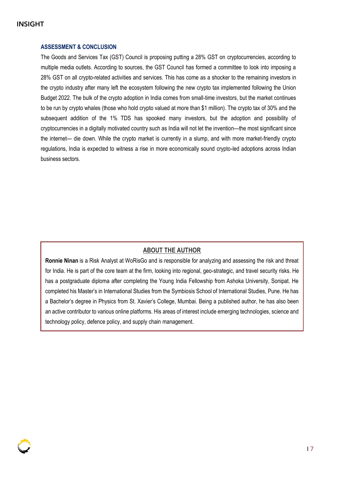# INSIGHT

## **ASSESSMENT & CONCLUSION**

The Goods and Services Tax (GST) Council is proposing putting a 28% GST on cryptocurrencies, according to multiple media outlets. According to sources, the GST Council has formed a committee to look into imposing a 28% GST on all crypto-related activities and services. This has come as a shocker to the remaining investors in the crypto industry after many left the ecosystem following the new crypto tax implemented following the Union Budget 2022. The bulk of the crypto adoption in India comes from small-time investors, but the market continues to be run by crypto whales (those who hold crypto valued at more than \$1 million). The crypto tax of 30% and the subsequent addition of the 1% TDS has spooked many investors, but the adoption and possibility of cryptocurrencies in a digitally motivated country such as India will not let the invention—the most significant since the internet— die down. While the crypto market is currently in a slump, and with more market-friendly crypto regulations, India is expected to witness a rise in more economically sound crypto-led adoptions across Indian business sectors.

# **ABOUT THE AUTHOR**

**Ronnie Ninan** is a Risk Analyst at WoRisGo and is responsible for analyzing and assessing the risk and threat for India. He is part of the core team at the firm, looking into regional, geo-strategic, and travel security risks. He has a postgraduate diploma after completing the Young India Fellowship from Ashoka University, Sonipat. He completed his Master's in International Studies from the Symbiosis School of International Studies, Pune. He has a Bachelor's degree in Physics from St. Xavier's College, Mumbai. Being a published author, he has also been an active contributor to various online platforms. His areas of interest include emerging technologies, science and technology policy, defence policy, and supply chain management.